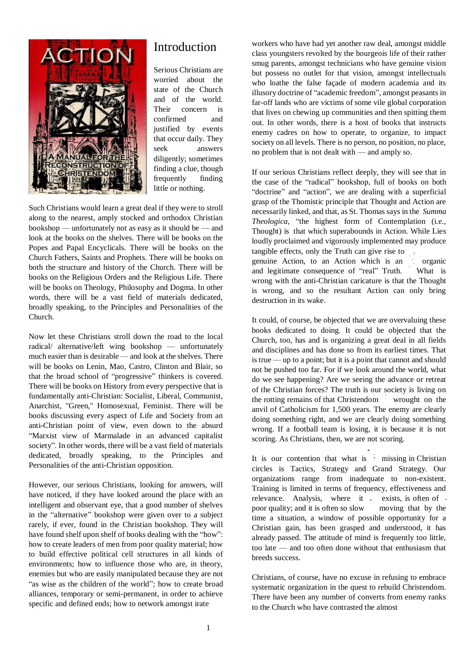

## Introduction

Serious Christians are worried about the state of the Church and of the world. Their concern is confirmed and justified by events that occur daily. They seek answers diligently; sometimes finding a clue, though frequently finding little or nothing.

Such Christians would learn a great deal if they were to stroll along to the nearest, amply stocked and orthodox Christian bookshop — unfortunately not as easy as it should be — and look at the books on the shelves. There will be books on the Popes and Papal Encyclicals. There will be books on the Church Fathers, Saints and Prophets. There will be books on both the structure and history of the Church. There will be books on the Religious Orders and the Religious Life. There will be books on Theology, Philosophy and Dogma. In other words, there will be a vast field of materials dedicated, broadly speaking, to the Principles and Personalities of the Church.

Now let these Christians stroll down the road to the local radical/ alternative/left wing bookshop — unfortunately much easier than is desirable — and look at the shelves. There will be books on Lenin, Mao, Castro, Clinton and Blair, so that the broad school of "progressive" thinkers is covered. There will be books on History from every perspective that is fundamentally anti-Christian: Socialist, Liberal, Communist, Anarchist, "Green," Homosexual, Feminist. There will be books discussing every aspect of Life and Society from an anti-Christian point of view, even down to the absurd "Marxist view of Marmalade in an advanced capitalist society". In other words, there will be a vast field of materials dedicated, broadly speaking, to the Principles and Personalities of the anti-Christian opposition.

However, our serious Christians, looking for answers, will have noticed, if they have looked around the place with an intelligent and observant eye, that a good number of shelves in the "alternative" bookshop were given over to a subject rarely, if ever, found in the Christian bookshop. They will have found shelf upon shelf of books dealing with the "how": how to create leaders of men from poor quality material; how to build effective political cell structures in all kinds of environments; how to influence those who are, in theory, enemies but who are easily manipulated because they are not "as wise as the children of the world"; how to create broad alliances, temporary or semi-permanent, in order to achieve specific and defined ends; how to network amongst irate

workers who have had yet another raw deal, amongst middle class youngsters revolted by the bourgeois life of their rather smug parents, amongst technicians who have genuine vision but possess no outlet for that vision, amongst intellectuals who loathe the false façade of modern academia and its illusory doctrine of "academic freedom", amongst peasants in far-off lands who are victims of some vile global corporation that lives on chewing up communities and then spitting them out. In other words, there is a host of books that instructs enemy cadres on how to operate, to organize, to impact society on all levels. There is no person, no position, no place, no problem that is not dealt with — and amply so.

If our serious Christians reflect deeply, they will see that in the case of the "radical" bookshop, full of books on both "doctrine" and "action", we are dealing with a superficial grasp of the Thomistic principle that Thought and Action are necessarily linked, and that, as St. Thomas says in the *Summa Theologica*, "the highest form of Contemplation (i.e., Thought) is that which superabounds in Action. While Lies loudly proclaimed and vigorously implemented may produce tangible effects, only the Truth can give rise to genuine Action, to an Action which is an organic and legitimate consequence of "real" Truth. What is wrong with the anti-Christian caricature is that the Thought is wrong, and so the resultant Action can only bring destruction in its wake.

It could, of course, be objected that we are overvaluing these books dedicated to doing. It could be objected that the Church, too, has and is organizing a great deal in all fields and disciplines and has done so from its earliest times. That is true — up to a point; but it is a point that cannot and should not be pushed too far. For if we look around the world, what do we see happening? Are we seeing the advance or retreat of the Christian forces? The truth is our society is living on the rotting remains of that Christendom wrought on the anvil of Catholicism for 1,500 years. The enemy are clearly doing something right, and we are clearly doing something wrong. If a football team is losing, it is because it is not scoring. As Christians, then, we are not scoring.

It is our contention that what is missing in Christian circles is Tactics, Strategy and Grand Strategy. Our organizations range from inadequate to non-existent. Training is limited in terms of frequency, effectiveness and relevance. Analysis, where it exists, is often of poor quality; and it is often so slow moving that by the time a situation, a window of possible opportunity for a Christian gain, has been grasped and understood, it has already passed. The attitude of mind is frequently too little, too late — and too often done without that enthusiasm that breeds success.

Christians, of course, have no excuse in refusing to embrace systematic organization in the quest to rebuild Christendom. There have been any number of converts from enemy ranks to the Church who have contrasted the almost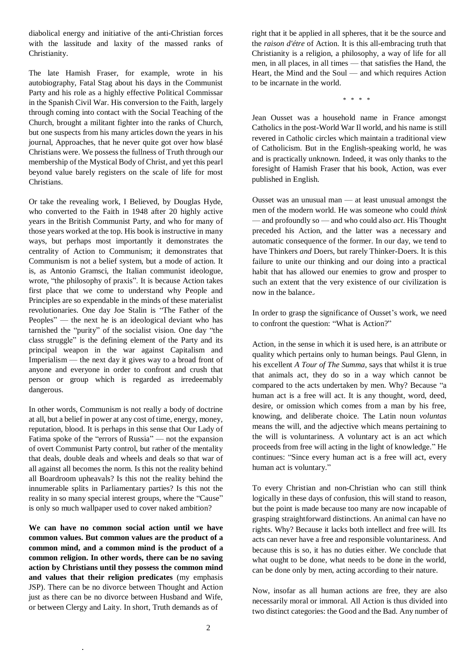diabolical energy and initiative of the anti-Christian forces with the lassitude and laxity of the massed ranks of Christianity.

The late Hamish Fraser, for example, wrote in his autobiography, Fatal Stag about his days in the Communist Party and his role as a highly effective Political Commissar in the Spanish Civil War. His conversion to the Faith, largely through coming into contact with the Social Teaching of the Church, brought a militant fighter into the ranks of Church, but one suspects from his many articles down the years in his journal, Approaches, that he never quite got over how blasé Christians were. We possess the fullness of Truth through our membership of the Mystical Body of Christ, and yet this pearl beyond value barely registers on the scale of life for most Christians.

Or take the revealing work, I Believed, by Douglas Hyde, who converted to the Faith in 1948 after 20 highly active years in the British Communist Party, and who for many of those years worked at the top. His book is instructive in many ways, but perhaps most importantly it demonstrates the centrality of Action to Communism; it demonstrates that Communism is not a belief system, but a mode of action. It is, as Antonio Gramsci, the Italian communist ideologue, wrote, "the philosophy of praxis". It is because Action takes first place that we come to understand why People and Principles are so expendable in the minds of these materialist revolutionaries. One day Joe Stalin is "The Father of the Peoples" — the next he is an ideological deviant who has tarnished the "purity" of the socialist vision. One day "the class struggle" is the defining element of the Party and its principal weapon in the war against Capitalism and Imperialism — the next day it gives way to a broad front of anyone and everyone in order to confront and crush that person or group which is regarded as irredeemably dangerous.

In other words, Communism is not really a body of doctrine at all, but a belief in power at any cost of time, energy, money, reputation, blood. It is perhaps in this sense that Our Lady of Fatima spoke of the "errors of Russia" — not the expansion of overt Communist Party control, but rather of the mentality that deals, double deals and wheels and deals so that war of all against all becomes the norm. Is this not the reality behind all Boardroom upheavals? Is this not the reality behind the innumerable splits in Parliamentary parties? Is this not the reality in so many special interest groups, where the "Cause" is only so much wallpaper used to cover naked ambition?

**We can have no common social action until we have common values. But common values are the product of a common mind, and a common mind is the product of a common religion. In other words, there can be no saving action by Christians until they possess the common mind and values that their religion predicates** (my emphasis JSP). There can be no divorce between Thought and Action just as there can be no divorce between Husband and Wife, or between Clergy and Laity. In short, Truth demands as of

right that it be applied in all spheres, that it be the source and the *raison d'étre* of Action. It is this all-embracing truth that Christianity is a religion, a philosophy, a way of life for all men, in all places, in all times — that satisfies the Hand, the Heart, the Mind and the Soul — and which requires Action to be incarnate in the world.

\* \* \* \*

Jean Ousset was a household name in France amongst Catholics in the post-World War Il world, and his name is still revered in Catholic circles which maintain a traditional view of Catholicism. But in the English-speaking world, he was and is practically unknown. Indeed, it was only thanks to the foresight of Hamish Fraser that his book, Action, was ever published in English.

Ousset was an unusual man — at least unusual amongst the men of the modern world. He was someone who could *think* — and profoundly so — and who could also *act*. His Thought preceded his Action, and the latter was a necessary and automatic consequence of the former. In our day, we tend to have Thinkers *and* Doers, but rarely Thinker-Doers. It is this failure to unite our thinking and our doing into a practical habit that has allowed our enemies to grow and prosper to such an extent that the very existence of our civilization is now in the balance.

In order to grasp the significance of Ousset's work, we need to confront the question: "What is Action?"

Action, in the sense in which it is used here, is an attribute or quality which pertains only to human beings. Paul Glenn, in his excellent *A Tour of The Summa*, says that whilst it is true that animals act, they do so in a way which cannot be compared to the acts undertaken by men. Why? Because "a human act is a free will act. It is any thought, word, deed, desire, or omission which comes from a man by his free, knowing, and deliberate choice. The Latin noun *voluntas* means the will, and the adjective which means pertaining to the will is voluntariness. A voluntary act is an act which proceeds from free will acting in the light of knowledge." He continues: "Since every human act is a free will act, every human act is voluntary."

To every Christian and non-Christian who can still think logically in these days of confusion, this will stand to reason, but the point is made because too many are now incapable of grasping straightforward distinctions. An animal can have no rights. Why? Because it lacks both intellect and free will. Its acts can never have a free and responsible voluntariness. And because this is so, it has no duties either. We conclude that what ought to be done, what needs to be done in the world, can be done only by men, acting according to their nature.

Now, insofar as all human actions are free, they are also necessarily moral or immoral. All Action is thus divided into two distinct categories: the Good and the Bad. Any number of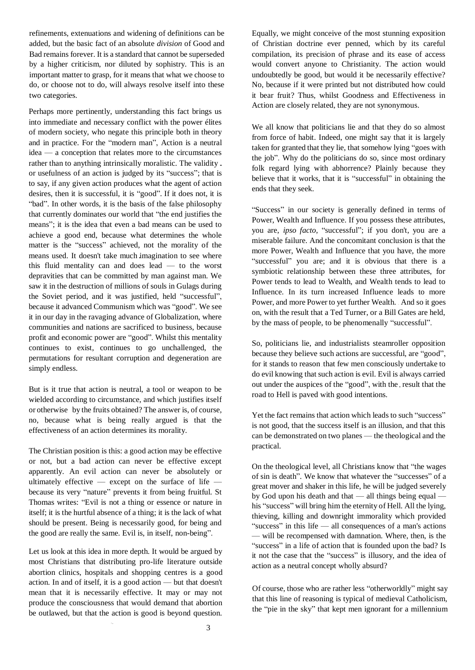refinements, extenuations and widening of definitions can be added, but the basic fact of an absolute *division* of Good and Bad remains forever. It is a standard that cannot be superseded by a higher criticism, nor diluted by sophistry. This is an important matter to grasp, for it means that what we choose to do, or choose not to do, will always resolve itself into these two categories.

Perhaps more pertinently, understanding this fact brings us into immediate and necessary conflict with the power élites of modern society, who negate this principle both in theory and in practice. For the "modern man", Action is a neutral idea — a conception that relates more to the circumstances rather than to anything intrinsically moralistic. The validity. or usefulness of an action is judged by its "success"; that is to say, if any given action produces what the agent of action desires, then it is successful, it is "good". If it does not, it is "bad". In other words, it is the basis of the false philosophy that currently dominates our world that "the end justifies the means"; it is the idea that even a bad means can be used to achieve a good end, because what determines the whole matter is the "success" achieved, not the morality of the means used. It doesn't take much imagination to see where this fluid mentality can and does lead — to the worst depravities that can be committed by man against man. We saw it in the destruction of millions of souls in Gulags during the Soviet period, and it was justified, held "successful", because it advanced Communism which was "good". We see it in our day in the ravaging advance of Globalization, where communities and nations are sacrificed to business, because profit and economic power are "good". Whilst this mentality continues to exist, continues to go unchallenged, the permutations for resultant corruption and degeneration are simply endless.

But is it true that action is neutral, a tool or weapon to be wielded according to circumstance, and which justifies itself or otherwise by the fruits obtained? The answer is, of course, no, because what is being really argued is that the effectiveness of an action determines its morality.

The Christian position is this: a good action may be effective or not, but a bad action can never be effective except apparently. An evil action can never be absolutely or ultimately effective  $-$  except on the surface of life  $$ because its very "nature" prevents it from being fruitful. St Thomas writes: "Evil is not a thing or essence or nature in itself; it is the hurtful absence of a thing; it is the lack of what should be present. Being is necessarily good, for being and the good are really the same. Evil is, in itself, non-being".

Let us look at this idea in more depth. It would be argued by most Christians that distributing pro-life literature outside abortion clinics, hospitals and shopping centres is a good action. In and of itself, it is a good action — but that doesn't mean that it is necessarily effective. It may or may not produce the consciousness that would demand that abortion be outlawed, but that the action is good is beyond question.

Equally, we might conceive of the most stunning exposition of Christian doctrine ever penned, which by its careful compilation, its precision of phrase and its ease of access would convert anyone to Christianity. The action would undoubtedly be good, but would it be necessarily effective? No, because if it were printed but not distributed how could it bear fruit? Thus, whilst Goodness and Effectiveness in Action are closely related, they are not synonymous.

We all know that politicians lie and that they do so almost from force of habit. Indeed, one might say that it is largely taken for granted that they lie, that somehow lying "goes with the job". Why do the politicians do so, since most ordinary folk regard lying with abhorrence? Plainly because they believe that it works, that it is "successful" in obtaining the ends that they seek.

"Success" in our society is generally defined in terms of Power, Wealth and Influence. If you possess these attributes, you are, *ipso facto*, "successful"; if you don't, you are a miserable failure. And the concomitant conclusion is that the more Power, Wealth and Influence that you have, the more "successful" you are; and it is obvious that there is a symbiotic relationship between these three attributes, for Power tends to lead to Wealth, and Wealth tends to lead to Influence. In its turn increased Influence leads to more Power, and more Power to yet further Wealth. And so it goes on, with the result that a Ted Turner, or a Bill Gates are held, by the mass of people, to be phenomenally "successful".

So, politicians lie, and industrialists steamroller opposition because they believe such actions are successful, are "good", for it stands to reason that few men consciously undertake to do evil knowing that such action is evil. Evil is always carried out under the auspices of the "good", with the result that the road to Hell is paved with good intentions.

Yet the fact remains that action which leads to such "success" is not good, that the success itself is an illusion, and that this can be demonstrated on two planes — the theological and the practical.

On the theological level, all Christians know that "the wages of sin is death". We know that whatever the "successes" of a great mover and shaker in this life, he will be judged severely by God upon his death and that — all things being equal his "success" will bring him the eternity of Hell. All the lying, thieving, killing and downright immorality which provided "success" in this life — all consequences of a man's actions — will be recompensed with damnation. Where, then, is the "success" in a life of action that is founded upon the bad? Is it not the case that the "success" is illusory, and the idea of action as a neutral concept wholly absurd?

Of course, those who are rather less "otherworldly" might say that this line of reasoning is typical of medieval Catholicism, the "pie in the sky" that kept men ignorant for a millennium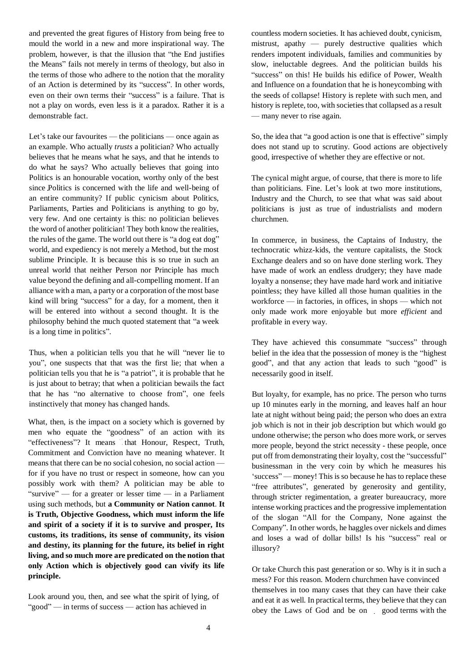and prevented the great figures of History from being free to mould the world in a new and more inspirational way. The problem, however, is that the illusion that "the End justifies the Means" fails not merely in terms of theology, but also in the terms of those who adhere to the notion that the morality of an Action is determined by its "success". In other words, even on their own terms their "success" is a failure. That is not a play on words, even less is it a paradox. Rather it is a demonstrable fact.

Let's take our favourites — the politicians — once again as an example. Who actually *trusts* a politician? Who actually believes that he means what he says, and that he intends to do what he says? Who actually believes that going into Politics is an honourable vocation, worthy only of the best since Politics is concerned with the life and well-being of an entire community? If public cynicism about Politics, Parliaments, Parties and Politicians is anything to go by, very few. And one certainty is this: no politician believes the word of another politician! They both know the realities, the rules of the game. The world out there is "a dog eat dog" world, and expediency is not merely a Method, but the most sublime Principle. It is because this is so true in such an unreal world that neither Person nor Principle has much value beyond the defining and all-compelling moment. If an alliance with a man, a party or a corporation of the most base kind will bring "success" for a day, for a moment, then it will be entered into without a second thought. It is the philosophy behind the much quoted statement that "a week is a long time in politics".

Thus, when a politician tells you that he will "never lie to you", one suspects that that was the first lie; that when a politician tells you that he is "a patriot", it is probable that he is just about to betray; that when a politician bewails the fact that he has "no alternative to choose from", one feels instinctively that money has changed hands.

What, then, is the impact on a society which is governed by men who equate the "goodness" of an action with its "effectiveness"? It means that Honour, Respect, Truth, Commitment and Conviction have no meaning whatever. It means that there can be no social cohesion, no social action for if you have no trust or respect in someone, how can you possibly work with them? A politician may be able to "survive" — for a greater or lesser time — in a Parliament using such methods, but **a Community or Nation cannot**. **It is Truth, Objective Goodness, which must inform the life and spirit of a society if it is to survive and prosper, Its customs, its traditions, its sense of community, its vision and destiny, its planning for the future, its belief in right living, and so much more are predicated on the notion that only Action which is objectively good can vivify its life principle.**

Look around you, then, and see what the spirit of lying, of "good" — in terms of success — action has achieved in

countless modern societies. It has achieved doubt, cynicism, mistrust, apathy — purely destructive qualities which renders impotent individuals, families and communities by slow, ineluctable degrees. And the politician builds his "success" on this! He builds his edifice of Power, Wealth and Influence on a foundation that he is honeycombing with the seeds of collapse! History is replete with such men, and history is replete, too, with societies that collapsed as a result — many never to rise again.

So, the idea that "a good action is one that is effective" simply does not stand up to scrutiny. Good actions are objectively good, irrespective of whether they are effective or not.

The cynical might argue, of course, that there is more to life than politicians. Fine. Let's look at two more institutions, Industry and the Church, to see that what was said about politicians is just as true of industrialists and modern churchmen.

In commerce, in business, the Captains of Industry, the technocratic whizz-kids, the venture capitalists, the Stock Exchange dealers and so on have done sterling work. They have made of work an endless drudgery; they have made loyalty a nonsense; they have made hard work and initiative pointless; they have killed all those human qualities in the workforce — in factories, in offices, in shops — which not only made work more enjoyable but more *efficient* and profitable in every way.

They have achieved this consummate "success" through belief in the idea that the possession of money is the "highest good", and that any action that leads to such "good" is necessarily good in itself.

But loyalty, for example, has no price. The person who turns up 10 minutes early in the morning, and leaves half an hour late at night without being paid; the person who does an extra job which is not in their job description but which would go undone otherwise; the person who does more work, or serves more people, beyond the strict necessity - these people, once put off from demonstrating their loyalty, cost the "successful" businessman in the very coin by which he measures his 'success" — money! This is so because he has to replace these "free attributes", generated by generosity and gentility, through stricter regimentation, a greater bureaucracy, more intense working practices and the progressive implementation of the slogan "All for the Company, None against the Company". In other words, he haggles over nickels and dimes and loses a wad of dollar bills! Is his "success" real or illusory?

Or take Church this past generation or so. Why is it in such a mess? For this reason. Modern churchmen have convinced themselves in too many cases that they can have their cake and eat it as well. In practical terms, they believe that they can obey the Laws of God and be on good terms with the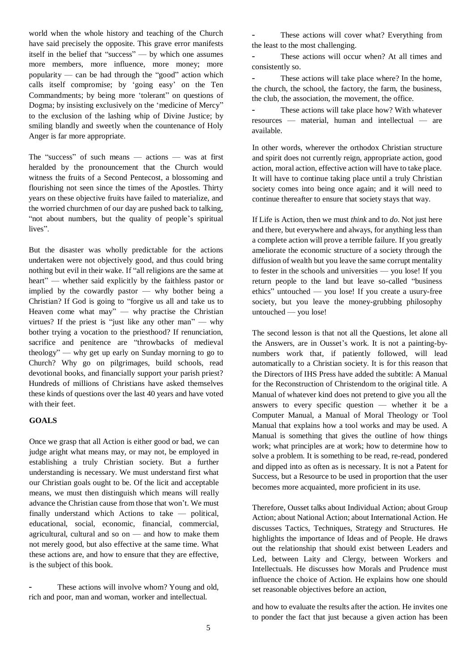world when the whole history and teaching of the Church have said precisely the opposite. This grave error manifests itself in the belief that "success" — by which one assumes more members, more influence, more money; more popularity — can be had through the "good" action which calls itself compromise; by 'going easy' on the Ten Commandments; by being more 'tolerant" on questions of Dogma; by insisting exclusively on the 'medicine of Mercy" to the exclusion of the lashing whip of Divine Justice; by smiling blandly and sweetly when the countenance of Holy Anger is far more appropriate.

The "success" of such means — actions — was at first heralded by the pronouncement that the Church would witness the fruits of a Second Pentecost, a blossoming and flourishing not seen since the times of the Apostles. Thirty years on these objective fruits have failed to materialize, and the worried churchmen of our day are pushed back to talking, "not about numbers, but the quality of people's spiritual lives".

But the disaster was wholly predictable for the actions undertaken were not objectively good, and thus could bring nothing but evil in their wake. If "all religions are the same at heart" — whether said explicitly by the faithless pastor or implied by the cowardly pastor — why bother being a Christian? If God is going to "forgive us all and take us to Heaven come what may"  $-$  why practise the Christian virtues? If the priest is "just like any other man" — why bother trying a vocation to the priesthood? If renunciation, sacrifice and penitence are "throwbacks of medieval theology" — why get up early on Sunday morning to go to Church? Why go on pilgrimages, build schools, read devotional books, and financially support your parish priest? Hundreds of millions of Christians have asked themselves these kinds of questions over the last 40 years and have voted with their feet.

## **GOALS**

Once we grasp that all Action is either good or bad, we can judge aright what means may, or may not, be employed in establishing a truly Christian society. But a further understanding is necessary. We must understand first what our Christian goals ought to be. Of the licit and acceptable means, we must then distinguish which means will really advance the Christian cause from those that won't. We must finally understand which Actions to take — political, educational, social, economic, financial, commercial, agricultural, cultural and so on — and how to make them not merely good, but also effective at the same time. What these actions are, and how to ensure that they are effective, is the subject of this book.

These actions will involve whom? Young and old, rich and poor, man and woman, worker and intellectual.

These actions will cover what? Everything from the least to the most challenging.

These actions will occur when? At all times and consistently so.

These actions will take place where? In the home, the church, the school, the factory, the farm, the business, the club, the association, the movement, the office.

- These actions will take place how? With whatever resources — material, human and intellectual — are available.

In other words, wherever the orthodox Christian structure and spirit does not currently reign, appropriate action, good action, moral action, effective action will have to take place. It will have to continue taking place until a truly Christian society comes into being once again; and it will need to continue thereafter to ensure that society stays that way.

If Life is Action, then we must *think* and to *do*. Not just here and there, but everywhere and always, for anything less than a complete action will prove a terrible failure. If you greatly ameliorate the economic structure of a society through the diffusion of wealth but you leave the same corrupt mentality to fester in the schools and universities — you lose! If you return people to the land but leave so-called "business ethics" untouched — you lose! If you create a usury-free society, but you leave the money-grubbing philosophy untouched — you lose!

The second lesson is that not all the Questions, let alone all the Answers, are in Ousset's work. It is not a painting-bynumbers work that, if patiently followed, will lead automatically to a Christian society. It is for this reason that the Directors of IHS Press have added the subtitle: A Manual for the Reconstruction of Christendom to the original title. A Manual of whatever kind does not pretend to give you all the answers to every specific question — whether it be a Computer Manual, a Manual of Moral Theology or Tool Manual that explains how a tool works and may be used. A Manual is something that gives the outline of how things work; what principles are at work; how to determine how to solve a problem. It is something to be read, re-read, pondered and dipped into as often as is necessary. It is not a Patent for Success, but a Resource to be used in proportion that the user becomes more acquainted, more proficient in its use.

Therefore, Ousset talks about Individual Action; about Group Action; about National Action; about International Action. He discusses Tactics, Techniques, Strategy and Structures. He highlights the importance of Ideas and of People. He draws out the relationship that should exist between Leaders and Led, between Laity and Clergy, between Workers and Intellectuals. He discusses how Morals and Prudence must influence the choice of Action. He explains how one should set reasonable objectives before an action,

and how to evaluate the results after the action. He invites one to ponder the fact that just because a given action has been